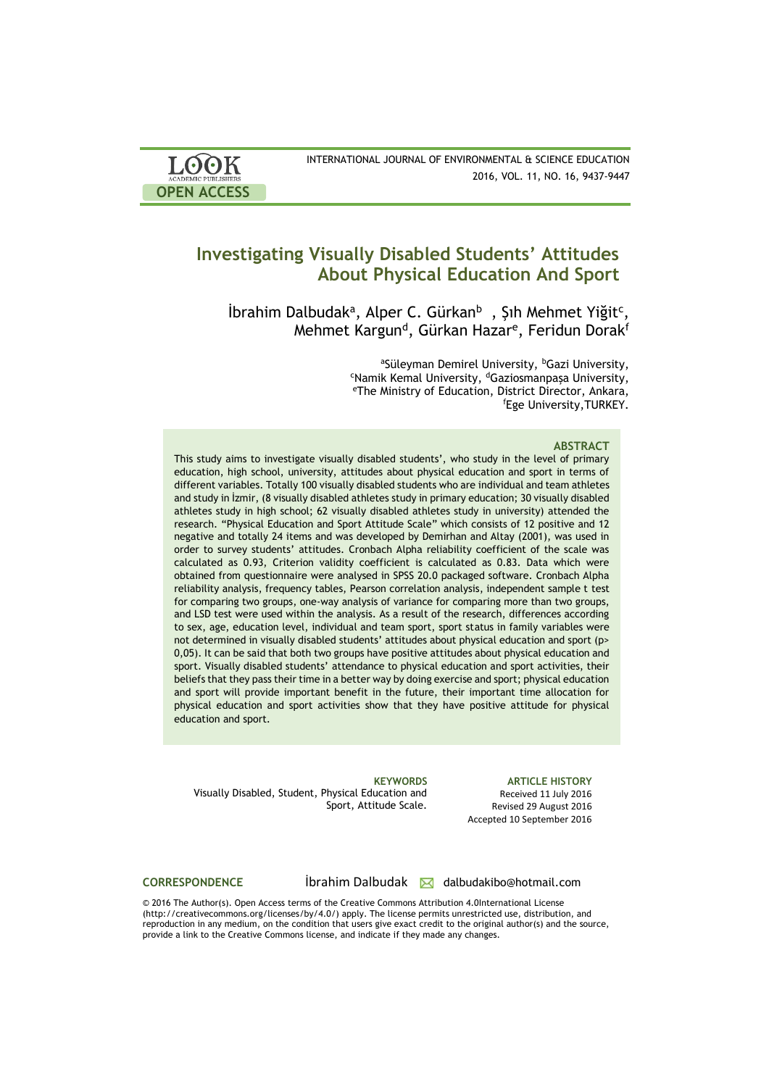| <b>LOOK</b><br><b>ACADEMIC PUBLISHERS</b> | INTERNATIONAL JOURNAL OF ENVIRONMENTAL & SCIENCE EDUCATION<br>2016, VOL. 11, NO. 16, 9437-9447 |
|-------------------------------------------|------------------------------------------------------------------------------------------------|
| <b>OPEN ACCESS</b>                        |                                                                                                |

# **Investigating Visually Disabled Students' Attitudes About Physical Education And Sport**

 $\frac{1}{2}$ İbrahim Dalbudak<sup>a</sup>, Alper C. Gürkan<sup>b</sup>, Şıh Mehmet Yiğit<sup>c</sup>, Mehmet Kargun<sup>d</sup>, Gürkan Hazar<sup>e</sup>, Feridun Dorak<sup>f</sup>

> aSüleyman Demirel University, <sup>b</sup>Gazi University, <sup>c</sup>Namik Kemal University, <sup>d</sup>Gaziosmanpaşa University, <sup>e</sup>The Ministry of Education, District Director, Ankara, <sup>f</sup>Ege University,TURKEY*.*

#### **ABSTRACT**

This study aims to investigate visually disabled students', who study in the level of primary education, high school, university, attitudes about physical education and sport in terms of different variables. Totally 100 visually disabled students who are individual and team athletes and study in İzmir, (8 visually disabled athletes study in primary education; 30 visually disabled athletes study in high school; 62 visually disabled athletes study in university) attended the research. "Physical Education and Sport Attitude Scale" which consists of 12 positive and 12 negative and totally 24 items and was developed by Demirhan and Altay (2001), was used in order to survey students' attitudes. Cronbach Alpha reliability coefficient of the scale was calculated as 0.93, Criterion validity coefficient is calculated as 0.83. Data which were obtained from questionnaire were analysed in SPSS 20.0 packaged software. Cronbach Alpha reliability analysis, frequency tables, Pearson correlation analysis, independent sample t test for comparing two groups, one-way analysis of variance for comparing more than two groups, and LSD test were used within the analysis. As a result of the research, differences according to sex, age, education level, individual and team sport, sport status in family variables were not determined in visually disabled students' attitudes about physical education and sport (p> 0,05). It can be said that both two groups have positive attitudes about physical education and sport. Visually disabled students' attendance to physical education and sport activities, their beliefs that they pass their time in a better way by doing exercise and sport; physical education and sport will provide important benefit in the future, their important time allocation for physical education and sport activities show that they have positive attitude for physical education and sport.

Visually Disabled, Student, Physical Education and Sport, Attitude Scale.

**KEYWORDS ARTICLE HISTORY** Received 11 July 2016 Revised 29 August 2016 Accepted 10 September 2016

# CORRESPONDENCE **ibrahim Dalbudak M** dalbudakibo@hotmail.com

© 2016 The Author(s). Open Access terms of the Creative Commons Attribution 4.0International License (http://creativecommons.org/licenses/by/4.0/) apply. The license permits unrestricted use, distribution, and reproduction in any medium, on the condition that users give exact credit to the original author(s) and the source, provide a link to the Creative Commons license, and indicate if they made any changes.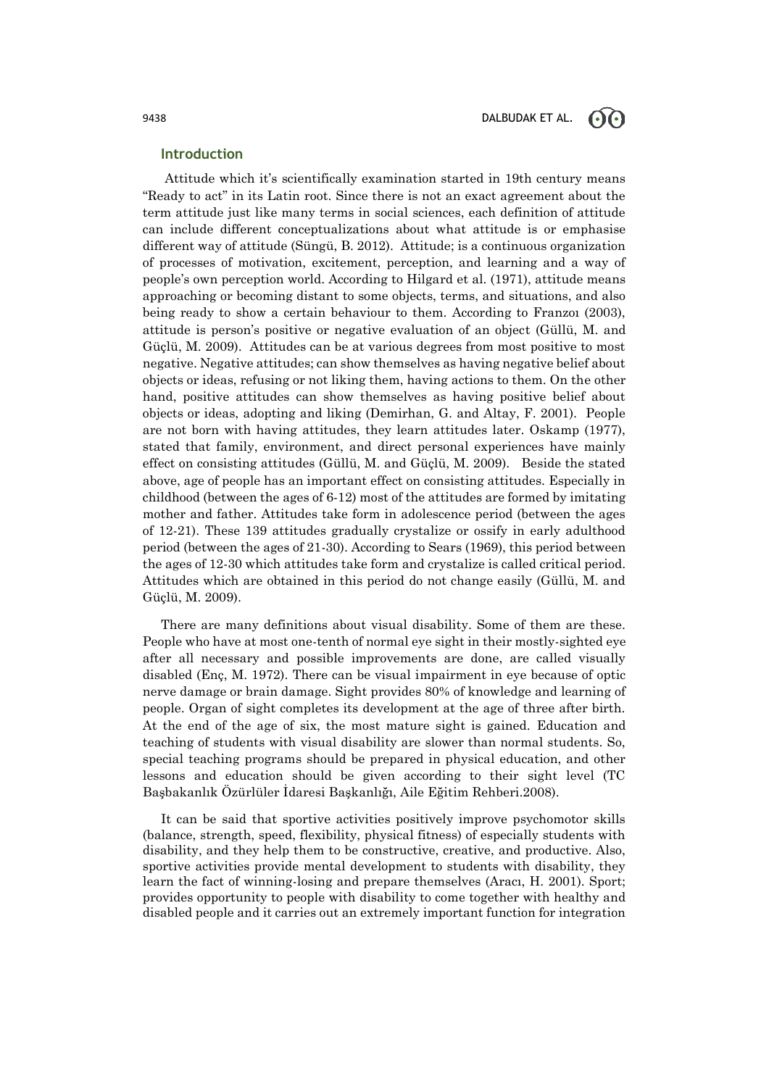### **Introduction**

Attitude which it's scientifically examination started in 19th century means "Ready to act" in its Latin root. Since there is not an exact agreement about the term attitude just like many terms in social sciences, each definition of attitude can include different conceptualizations about what attitude is or emphasise different way of attitude (Süngü, B. 2012). Attitude; is a continuous organization of processes of motivation, excitement, perception, and learning and a way of people's own perception world. According to Hilgard et al. (1971), attitude means approaching or becoming distant to some objects, terms, and situations, and also being ready to show a certain behaviour to them. According to Franzoı (2003), attitude is person's positive or negative evaluation of an object (Güllü, M. and Güçlü, M. 2009). Attitudes can be at various degrees from most positive to most negative. Negative attitudes; can show themselves as having negative belief about objects or ideas, refusing or not liking them, having actions to them. On the other hand, positive attitudes can show themselves as having positive belief about objects or ideas, adopting and liking (Demirhan, G. and Altay, F. 2001). People are not born with having attitudes, they learn attitudes later. Oskamp (1977), stated that family, environment, and direct personal experiences have mainly effect on consisting attitudes (Güllü, M. and Güçlü, M. 2009). Beside the stated above, age of people has an important effect on consisting attitudes. Especially in childhood (between the ages of 6-12) most of the attitudes are formed by imitating mother and father. Attitudes take form in adolescence period (between the ages of 12-21). These 139 attitudes gradually crystalize or ossify in early adulthood period (between the ages of 21-30). According to Sears (1969), this period between the ages of 12-30 which attitudes take form and crystalize is called critical period. Attitudes which are obtained in this period do not change easily (Güllü, M. and Güçlü, M. 2009).

There are many definitions about visual disability. Some of them are these. People who have at most one-tenth of normal eye sight in their mostly-sighted eye after all necessary and possible improvements are done, are called visually disabled (Enç, M. 1972). There can be visual impairment in eye because of optic nerve damage or brain damage. Sight provides 80% of knowledge and learning of people. Organ of sight completes its development at the age of three after birth. At the end of the age of six, the most mature sight is gained. Education and teaching of students with visual disability are slower than normal students. So, special teaching programs should be prepared in physical education, and other lessons and education should be given according to their sight level (TC Başbakanlık Özürlüler İdaresi Başkanlığı, Aile Eğitim Rehberi.2008).

It can be said that sportive activities positively improve psychomotor skills (balance, strength, speed, flexibility, physical fitness) of especially students with disability, and they help them to be constructive, creative, and productive. Also, sportive activities provide mental development to students with disability, they learn the fact of winning-losing and prepare themselves (Aracı, H. 2001). Sport; provides opportunity to people with disability to come together with healthy and disabled people and it carries out an extremely important function for integration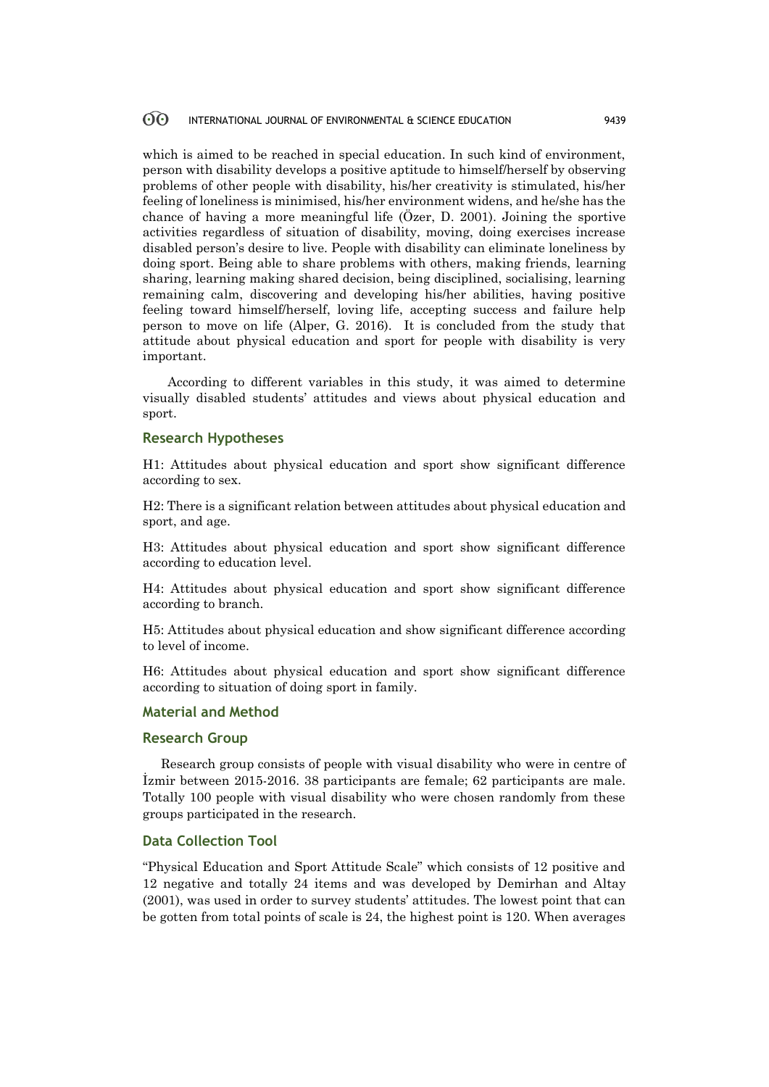#### 60 INTERNATIONAL JOURNAL OF ENVIRONMENTAL & SCIENCE EDUCATION 9439

which is aimed to be reached in special education. In such kind of environment, person with disability develops a positive aptitude to himself/herself by observing problems of other people with disability, his/her creativity is stimulated, his/her feeling of loneliness is minimised, his/her environment widens, and he/she has the chance of having a more meaningful life (Özer, D. 2001). Joining the sportive activities regardless of situation of disability, moving, doing exercises increase disabled person's desire to live. People with disability can eliminate loneliness by doing sport. Being able to share problems with others, making friends, learning sharing, learning making shared decision, being disciplined, socialising, learning remaining calm, discovering and developing his/her abilities, having positive feeling toward himself/herself, loving life, accepting success and failure help person to move on life (Alper, G. 2016). It is concluded from the study that attitude about physical education and sport for people with disability is very important.

 According to different variables in this study, it was aimed to determine visually disabled students' attitudes and views about physical education and sport.

### **Research Hypotheses**

H1: Attitudes about physical education and sport show significant difference according to sex.

H2: There is a significant relation between attitudes about physical education and sport, and age.

H3: Attitudes about physical education and sport show significant difference according to education level.

H4: Attitudes about physical education and sport show significant difference according to branch.

H5: Attitudes about physical education and show significant difference according to level of income.

H6: Attitudes about physical education and sport show significant difference according to situation of doing sport in family.

### **Material and Method**

#### **Research Group**

Research group consists of people with visual disability who were in centre of İzmir between 2015-2016. 38 participants are female; 62 participants are male. Totally 100 people with visual disability who were chosen randomly from these groups participated in the research.

# **Data Collection Tool**

"Physical Education and Sport Attitude Scale" which consists of 12 positive and 12 negative and totally 24 items and was developed by Demirhan and Altay (2001), was used in order to survey students' attitudes. The lowest point that can be gotten from total points of scale is 24, the highest point is 120. When averages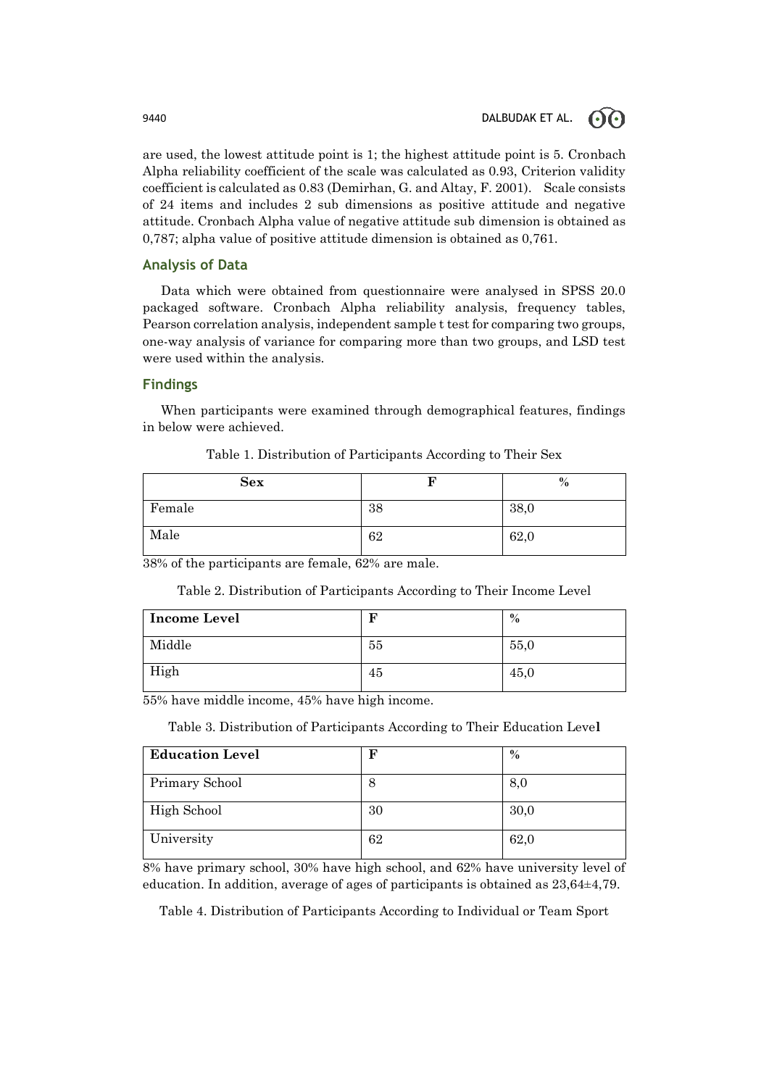are used, the lowest attitude point is 1; the highest attitude point is 5. Cronbach Alpha reliability coefficient of the scale was calculated as 0.93, Criterion validity coefficient is calculated as 0.83 (Demirhan, G. and Altay, F. 2001). Scale consists of 24 items and includes 2 sub dimensions as positive attitude and negative attitude. Cronbach Alpha value of negative attitude sub dimension is obtained as 0,787; alpha value of positive attitude dimension is obtained as 0,761.

# **Analysis of Data**

Data which were obtained from questionnaire were analysed in SPSS 20.0 packaged software. Cronbach Alpha reliability analysis, frequency tables, Pearson correlation analysis, independent sample t test for comparing two groups, one-way analysis of variance for comparing more than two groups, and LSD test were used within the analysis.

## **Findings**

When participants were examined through demographical features, findings in below were achieved.

| <b>Sex</b> |    | $\%$ |
|------------|----|------|
| Female     | 38 | 38,0 |
| Male       | 62 | 62,0 |

Table 1. Distribution of Participants According to Their Sex

38% of the participants are female, 62% are male.

Table 2. Distribution of Participants According to Their Income Level

| <b>Income Level</b> |    | $\%$ |
|---------------------|----|------|
| Middle              | 55 | 55,0 |
| High                | 45 | 45,0 |

55% have middle income, 45% have high income.

Table 3. Distribution of Participants According to Their Education Leve**l**

| <b>Education Level</b> | F  | $\%$ |
|------------------------|----|------|
| Primary School         | 8  | 8,0  |
| High School            | 30 | 30,0 |
| University             | 62 | 62,0 |

8% have primary school, 30% have high school, and 62% have university level of education. In addition, average of ages of participants is obtained as 23,64±4,79.

Table 4. Distribution of Participants According to Individual or Team Sport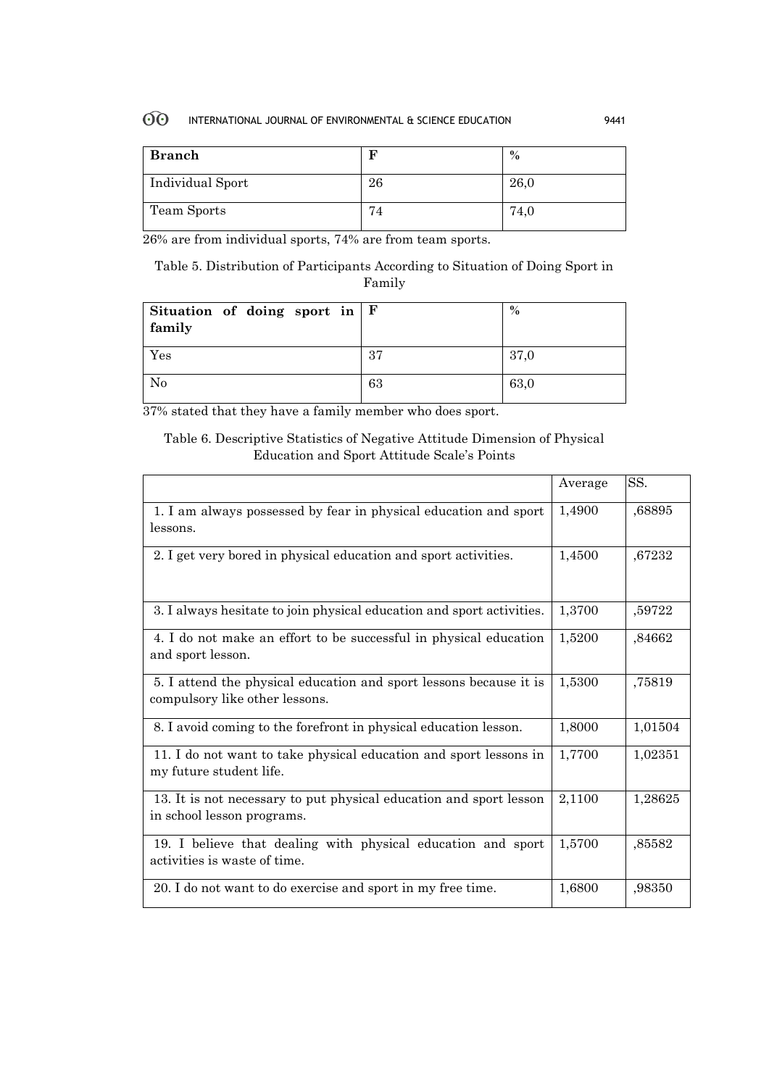#### $60^{\circ}$ INTERNATIONAL JOURNAL OF ENVIRONMENTAL & SCIENCE EDUCATION 9441

| <b>Branch</b>    |                    | $\%$ |
|------------------|--------------------|------|
| Individual Sport | 26                 | 26,0 |
| Team Sports      | —<br>$^{\prime}$ 4 | 74,0 |

26% are from individual sports, 74% are from team sports.

Table 5. Distribution of Participants According to Situation of Doing Sport in Family

| Situation of doing sport in $ F $<br>family |    | $\%$ |
|---------------------------------------------|----|------|
| Yes                                         | 37 | 37,0 |
| No                                          | 63 | 63,0 |

37% stated that they have a family member who does sport.

# Table 6. Descriptive Statistics of Negative Attitude Dimension of Physical Education and Sport Attitude Scale's Points

|                                                                                                      | Average | SS.     |
|------------------------------------------------------------------------------------------------------|---------|---------|
| 1. I am always possessed by fear in physical education and sport<br>lessons.                         | 1,4900  | ,68895  |
| 2. I get very bored in physical education and sport activities.                                      | 1,4500  | ,67232  |
| 3. I always hesitate to join physical education and sport activities.                                | 1,3700  | ,59722  |
| 4. I do not make an effort to be successful in physical education<br>and sport lesson.               | 1,5200  | ,84662  |
| 5. I attend the physical education and sport lessons because it is<br>compulsory like other lessons. | 1,5300  | ,75819  |
| 8. I avoid coming to the forefront in physical education lesson.                                     | 1,8000  | 1,01504 |
| 11. I do not want to take physical education and sport lessons in<br>my future student life.         | 1,7700  | 1,02351 |
| 13. It is not necessary to put physical education and sport lesson<br>in school lesson programs.     | 2,1100  | 1,28625 |
| 19. I believe that dealing with physical education and sport<br>activities is waste of time.         | 1,5700  | ,85582  |
| 20. I do not want to do exercise and sport in my free time.                                          | 1,6800  | ,98350  |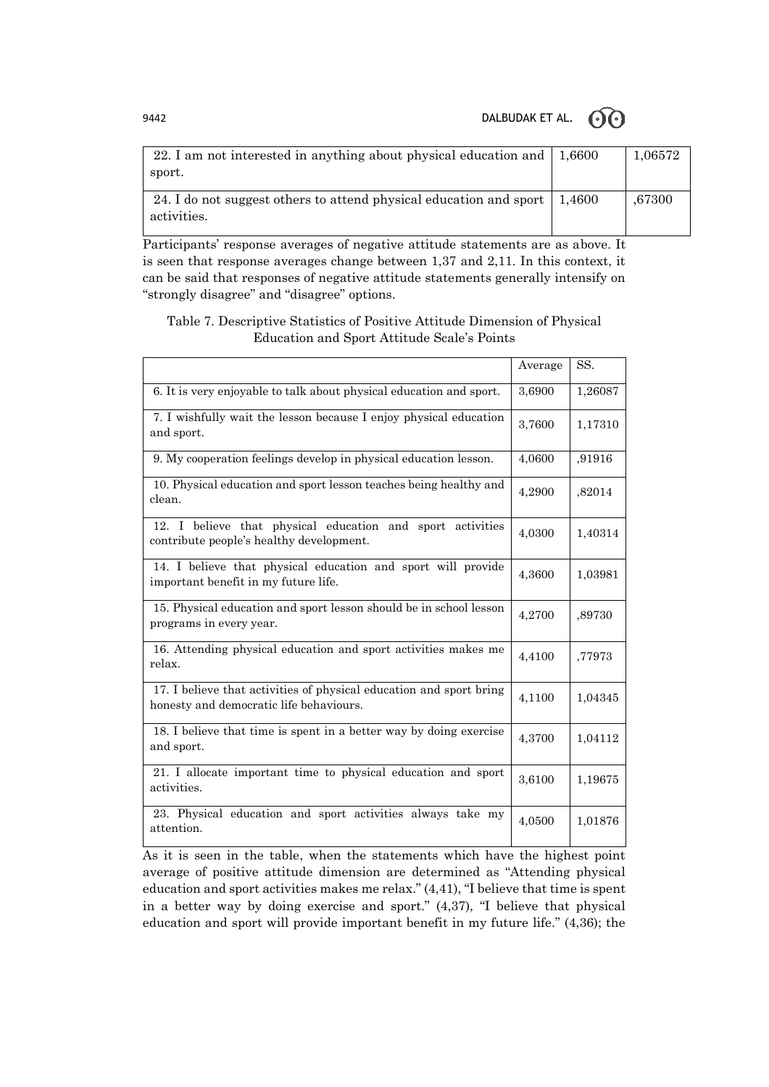9442 DALBUDAK ET AL.  $\odot$  O



| 22. I am not interested in anything about physical education and $\mid$ 1,6600<br>sport.   | 1,06572 |
|--------------------------------------------------------------------------------------------|---------|
| 24. I do not suggest others to attend physical education and sport   1,4600<br>activities. | ,67300  |

Participants' response averages of negative attitude statements are as above. It is seen that response averages change between 1,37 and 2,11. In this context, it can be said that responses of negative attitude statements generally intensify on "strongly disagree" and "disagree" options.

# Table 7. Descriptive Statistics of Positive Attitude Dimension of Physical Education and Sport Attitude Scale's Points

|                                                                                                                | Average | SS.     |
|----------------------------------------------------------------------------------------------------------------|---------|---------|
| 6. It is very enjoyable to talk about physical education and sport.                                            | 3,6900  | 1,26087 |
| 7. I wishfully wait the lesson because I enjoy physical education<br>and sport.                                | 3,7600  | 1,17310 |
| 9. My cooperation feelings develop in physical education lesson.                                               | 4,0600  | ,91916  |
| 10. Physical education and sport lesson teaches being healthy and<br>clean.                                    | 4,2900  | ,82014  |
| 12. I believe that physical education and sport activities<br>contribute people's healthy development.         | 4,0300  | 1,40314 |
| 14. I believe that physical education and sport will provide<br>important benefit in my future life.           | 4,3600  | 1,03981 |
| 15. Physical education and sport lesson should be in school lesson<br>programs in every year.                  | 4,2700  | ,89730  |
| 16. Attending physical education and sport activities makes me<br>relax.                                       | 4,4100  | ,77973  |
| 17. I believe that activities of physical education and sport bring<br>honesty and democratic life behaviours. | 4,1100  | 1,04345 |
| 18. I believe that time is spent in a better way by doing exercise<br>and sport.                               | 4,3700  | 1,04112 |
| 21. I allocate important time to physical education and sport<br>activities.                                   | 3,6100  | 1,19675 |
| 23. Physical education and sport activities always take my<br>attention.                                       | 4,0500  | 1,01876 |

As it is seen in the table, when the statements which have the highest point average of positive attitude dimension are determined as "Attending physical education and sport activities makes me relax." (4,41), "I believe that time is spent in a better way by doing exercise and sport." (4,37), "I believe that physical education and sport will provide important benefit in my future life." (4,36); the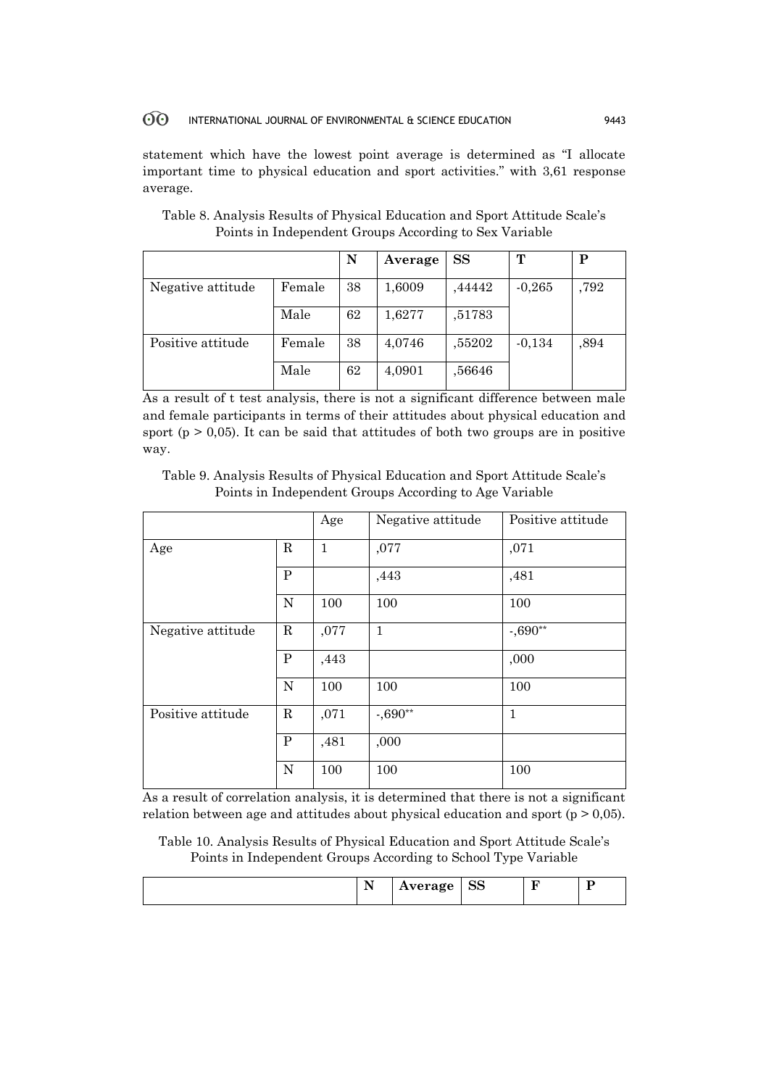#### $60^{\circ}$ INTERNATIONAL JOURNAL OF ENVIRONMENTAL & SCIENCE EDUCATION 9443

statement which have the lowest point average is determined as "I allocate important time to physical education and sport activities." with 3,61 response average.

|                   |        | N  | Average | <b>SS</b> | т        | Р    |
|-------------------|--------|----|---------|-----------|----------|------|
| Negative attitude | Female | 38 | 1,6009  | ,44442    | $-0,265$ | ,792 |
|                   | Male   | 62 | 1,6277  | ,51783    |          |      |
| Positive attitude | Female | 38 | 4,0746  | ,55202    | $-0,134$ | ,894 |
|                   | Male   | 62 | 4,0901  | ,56646    |          |      |

Table 8. Analysis Results of Physical Education and Sport Attitude Scale's Points in Independent Groups According to Sex Variable

As a result of t test analysis, there is not a significant difference between male and female participants in terms of their attitudes about physical education and sport ( $p > 0.05$ ). It can be said that attitudes of both two groups are in positive way.

Table 9. Analysis Results of Physical Education and Sport Attitude Scale's Points in Independent Groups According to Age Variable

|                   |             | Age          | Negative attitude | Positive attitude |
|-------------------|-------------|--------------|-------------------|-------------------|
| R<br>Age          |             | $\mathbf{1}$ | ,077              | ,071              |
|                   | P           |              | ,443              | ,481              |
|                   | N           | 100          | 100               | 100               |
| Negative attitude | $\mathbf R$ | ,077         | $\mathbf{1}$      | $-0.690**$        |
|                   | P           | ,443         |                   | ,000              |
|                   | N           | 100          | 100               | 100               |
| Positive attitude | R           | ,071         | $-0.690**$        | $\mathbf{1}$      |
|                   | P           | ,481         | ,000              |                   |
|                   | N           | 100          | 100               | 100               |

As a result of correlation analysis, it is determined that there is not a significant relation between age and attitudes about physical education and sport ( $p > 0.05$ ).

Table 10. Analysis Results of Physical Education and Sport Attitude Scale's Points in Independent Groups According to School Type Variable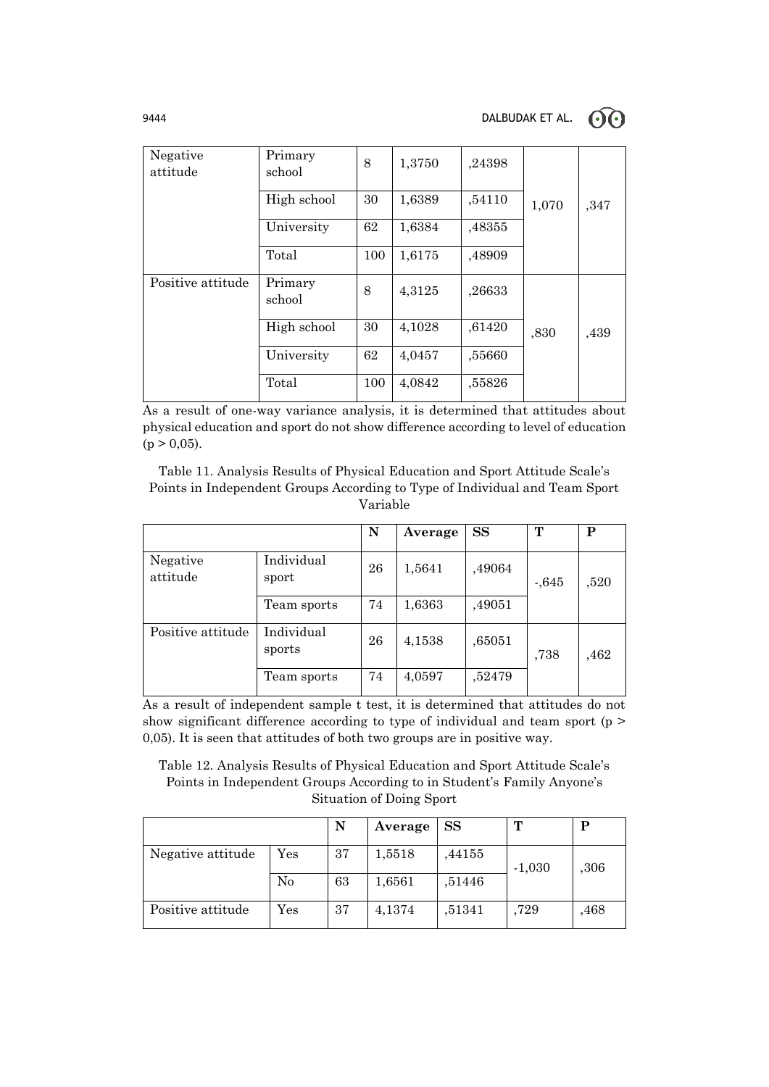| Negative<br>attitude | Primary<br>school | 8   | 1,3750 | ,24398 |       |      |
|----------------------|-------------------|-----|--------|--------|-------|------|
|                      | High school       | 30  | 1,6389 | ,54110 | 1,070 | ,347 |
|                      | University        | 62  | 1,6384 | ,48355 |       |      |
|                      | Total             | 100 | 1,6175 | ,48909 |       |      |
| Positive attitude    | Primary<br>school | 8   | 4,3125 | ,26633 |       |      |
|                      | High school       | 30  | 4,1028 | ,61420 | ,830  | ,439 |
|                      | University        | 62  | 4,0457 | ,55660 |       |      |
|                      | Total             | 100 | 4,0842 | ,55826 |       |      |

As a result of one-way variance analysis, it is determined that attitudes about physical education and sport do not show difference according to level of education  $(p > 0.05)$ .

Table 11. Analysis Results of Physical Education and Sport Attitude Scale's Points in Independent Groups According to Type of Individual and Team Sport Variable

|                      |                      | N  | Average | <b>SS</b> | т       | P    |
|----------------------|----------------------|----|---------|-----------|---------|------|
| Negative<br>attitude | Individual<br>sport  | 26 | 1,5641  | ,49064    | $-.645$ | ,520 |
|                      | Team sports          | 74 | 1,6363  | ,49051    |         |      |
| Positive attitude    | Individual<br>sports | 26 | 4,1538  | ,65051    | ,738    | ,462 |
|                      | Team sports          | 74 | 4,0597  | ,52479    |         |      |

As a result of independent sample t test, it is determined that attitudes do not show significant difference according to type of individual and team sport (p > 0,05). It is seen that attitudes of both two groups are in positive way.

Table 12. Analysis Results of Physical Education and Sport Attitude Scale's Points in Independent Groups According to in Student's Family Anyone's Situation of Doing Sport

|                   |                      | N  | Average | SS     | T        |      |
|-------------------|----------------------|----|---------|--------|----------|------|
| Negative attitude | $\operatorname{Yes}$ | 37 | 1,5518  | .44155 | $-1,030$ | ,306 |
|                   | No                   | 63 | 1,6561  | ,51446 |          |      |
| Positive attitude | $\operatorname{Yes}$ | 37 | 4,1374  | ,51341 | .729     | ,468 |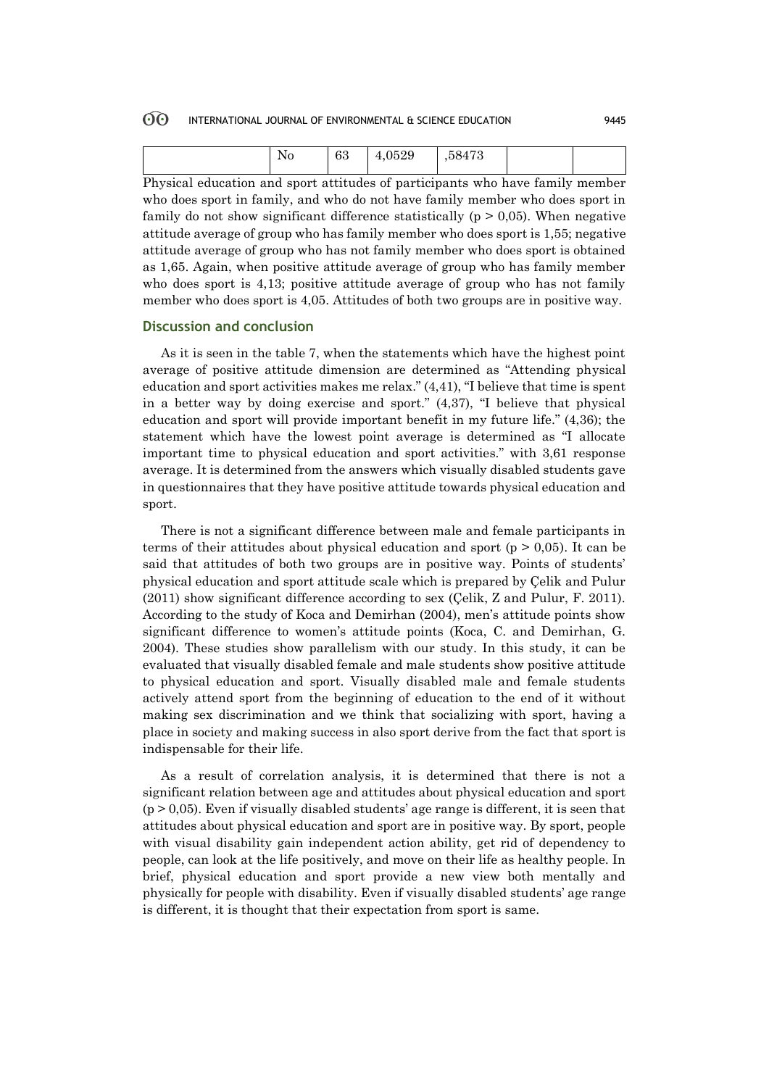#### 60 INTERNATIONAL JOURNAL OF ENVIRONMENTAL & SCIENCE EDUCATION 9445

| N۵<br><b>TAO</b> | $\Omega$<br>65 | ,0529<br>4.1 | 58473, |  |
|------------------|----------------|--------------|--------|--|
|                  |                |              |        |  |

Physical education and sport attitudes of participants who have family member who does sport in family, and who do not have family member who does sport in family do not show significant difference statistically ( $p > 0.05$ ). When negative attitude average of group who has family member who does sport is 1,55; negative attitude average of group who has not family member who does sport is obtained as 1,65. Again, when positive attitude average of group who has family member who does sport is 4,13; positive attitude average of group who has not family member who does sport is 4,05. Attitudes of both two groups are in positive way.

### **Discussion and conclusion**

As it is seen in the table 7, when the statements which have the highest point average of positive attitude dimension are determined as "Attending physical education and sport activities makes me relax." (4,41), "I believe that time is spent in a better way by doing exercise and sport." (4,37), "I believe that physical education and sport will provide important benefit in my future life." (4,36); the statement which have the lowest point average is determined as "I allocate important time to physical education and sport activities." with 3,61 response average. It is determined from the answers which visually disabled students gave in questionnaires that they have positive attitude towards physical education and sport.

There is not a significant difference between male and female participants in terms of their attitudes about physical education and sport ( $p > 0.05$ ). It can be said that attitudes of both two groups are in positive way. Points of students' physical education and sport attitude scale which is prepared by Çelik and Pulur (2011) show significant difference according to sex (Çelik, Z and Pulur, F. 2011). According to the study of Koca and Demirhan (2004), men's attitude points show significant difference to women's attitude points (Koca, C. and Demirhan, G. 2004). These studies show parallelism with our study. In this study, it can be evaluated that visually disabled female and male students show positive attitude to physical education and sport. Visually disabled male and female students actively attend sport from the beginning of education to the end of it without making sex discrimination and we think that socializing with sport, having a place in society and making success in also sport derive from the fact that sport is indispensable for their life.

As a result of correlation analysis, it is determined that there is not a significant relation between age and attitudes about physical education and sport  $(p > 0.05)$ . Even if visually disabled students' age range is different, it is seen that attitudes about physical education and sport are in positive way. By sport, people with visual disability gain independent action ability, get rid of dependency to people, can look at the life positively, and move on their life as healthy people. In brief, physical education and sport provide a new view both mentally and physically for people with disability. Even if visually disabled students' age range is different, it is thought that their expectation from sport is same.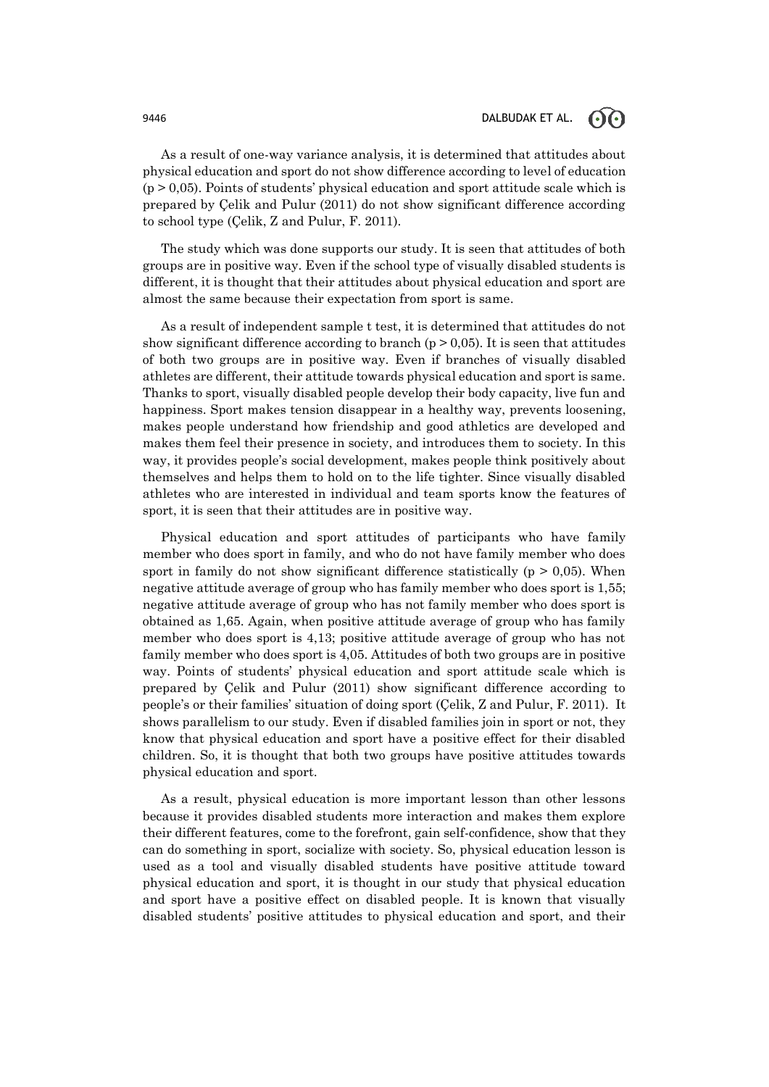# 9446 **DALBUDAK ET AL.**  $\bigodot$   $\bigodot$

As a result of one-way variance analysis, it is determined that attitudes about physical education and sport do not show difference according to level of education  $(p > 0.05)$ . Points of students' physical education and sport attitude scale which is prepared by Çelik and Pulur (2011) do not show significant difference according to school type (Çelik, Z and Pulur, F. 2011).

The study which was done supports our study. It is seen that attitudes of both groups are in positive way. Even if the school type of visually disabled students is different, it is thought that their attitudes about physical education and sport are almost the same because their expectation from sport is same.

As a result of independent sample t test, it is determined that attitudes do not show significant difference according to branch ( $p > 0.05$ ). It is seen that attitudes of both two groups are in positive way. Even if branches of visually disabled athletes are different, their attitude towards physical education and sport is same. Thanks to sport, visually disabled people develop their body capacity, live fun and happiness. Sport makes tension disappear in a healthy way, prevents loosening, makes people understand how friendship and good athletics are developed and makes them feel their presence in society, and introduces them to society. In this way, it provides people's social development, makes people think positively about themselves and helps them to hold on to the life tighter. Since visually disabled athletes who are interested in individual and team sports know the features of sport, it is seen that their attitudes are in positive way.

Physical education and sport attitudes of participants who have family member who does sport in family, and who do not have family member who does sport in family do not show significant difference statistically ( $p > 0.05$ ). When negative attitude average of group who has family member who does sport is 1,55; negative attitude average of group who has not family member who does sport is obtained as 1,65. Again, when positive attitude average of group who has family member who does sport is 4,13; positive attitude average of group who has not family member who does sport is 4,05. Attitudes of both two groups are in positive way. Points of students' physical education and sport attitude scale which is prepared by Çelik and Pulur (2011) show significant difference according to people's or their families' situation of doing sport (Çelik, Z and Pulur, F. 2011). It shows parallelism to our study. Even if disabled families join in sport or not, they know that physical education and sport have a positive effect for their disabled children. So, it is thought that both two groups have positive attitudes towards physical education and sport.

As a result, physical education is more important lesson than other lessons because it provides disabled students more interaction and makes them explore their different features, come to the forefront, gain self-confidence, show that they can do something in sport, socialize with society. So, physical education lesson is used as a tool and visually disabled students have positive attitude toward physical education and sport, it is thought in our study that physical education and sport have a positive effect on disabled people. It is known that visually disabled students' positive attitudes to physical education and sport, and their